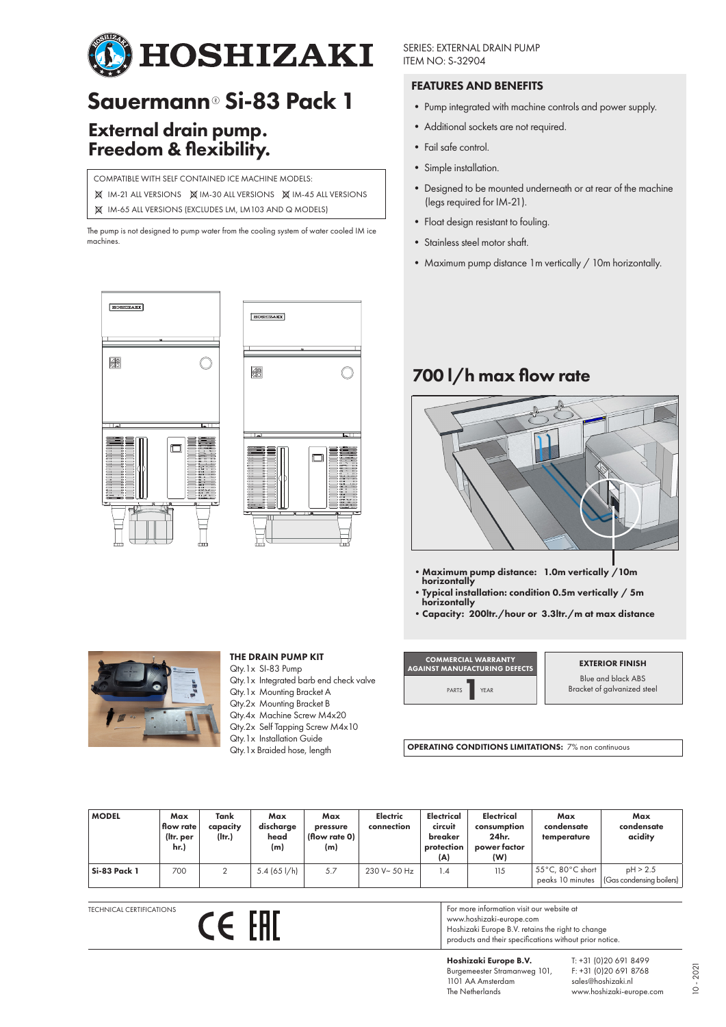

## Sauermann® Si-83 Pack 1 External drain pump. Freedom & flexibility.

COMPATIBLE WITH SELF CONTAINED ICE MACHINE MODELS:

- $\boxtimes$  IM-21 all versions  $\mod$  IM-30 all versions  $\Join$  IM-45 all versions
- ¨ IM-65 ALL VERSIONS (EXCLUDES LM, LM103 AND Q MODELS)

The pump is not designed to pump water from the cooling system of water cooled IM ice machines.





SERIES: EXTERNAL DRAIN PUMP ITEM NO: S-32904

#### FEATURES AND BENEFITS

- Pump integrated with machine controls and power supply.
- Additional sockets are not required.
- Fail safe control.
- Simple installation.
- Designed to be mounted underneath or at rear of the machine (legs required for IM-21).
- Float design resistant to fouling.
- Stainless steel motor shaft.
- Maximum pump distance 1m vertically / 10m horizontally.

### 700 l/h max flow rate



- •Maximum pump distance: 1.0m vertically /10m horizontally
- Typical installation: condition 0.5m vertically / 5m<br>horizontally
- •Capacity: 200ltr./hour or 3.3ltr./m at max distance



#### THE DRAIN PUMP KIT

- Qty.1x SI-83 Pump
- Qty.1x Integrated barb end check valve
- Qty.1x Mounting Bracket A
- Qty.2x Mounting Bracket B Qty.4x Machine Screw M4x20
- Qty.2x Self Tapping Screw M4x10
- Qty.1x Installation Guide
- Qty.1x Braided hose, length

PARTS COMMERCIAL WARRANTY AGAINST MANUFACTURING DEFECTS 1YEAR EXTERIOR FINISH Blue and black ABS Bracket of galvanized steel

OPERATING CONDITIONS LIMITATIONS: 7% non continuous

| <b>MODEL</b>        | Max<br>flow rate<br>(Itr. per<br>hr.) | Tank<br>capacity<br>(ltr.) | Max<br>discharge<br>head<br>(m) | Max<br>pressure<br>(flow rate $0$ )<br>(m) | <b>Electric</b><br>connection | Electrical<br>circuit<br>breaker<br>protection<br>(A) | Electrical<br>consumption<br>24hr.<br>power factor<br>(W) | Max<br>condensate<br>temperature                          | Max<br>condensate<br>acidity         |
|---------------------|---------------------------------------|----------------------------|---------------------------------|--------------------------------------------|-------------------------------|-------------------------------------------------------|-----------------------------------------------------------|-----------------------------------------------------------|--------------------------------------|
| <b>Si-83 Pack 1</b> | 700                                   |                            | 5.4(65)/h                       | 5.7                                        | 230 V~ 50 Hz                  | 1.4                                                   | 115                                                       | $55^{\circ}$ C, 80 $^{\circ}$ C short<br>peaks 10 minutes | pH > 2.5<br>(Gas condensing boilers) |

TECHNICAL CERTIFICATIONS



| For more information visit our website at               |
|---------------------------------------------------------|
| www.hoshizaki-europe.com                                |
| Hoshizaki Europe B.V. retains the right to change       |
| products and their specifications without prior notice. |

Hoshizaki Europe B.V. Burgemeester Stramanweg 101, 1101 AA Amsterdam The Netherlands

T: +31 (0)20 691 8499 F: +31 (0)20 691 8768 sales@hoshizaki.nl www.hoshizaki-europe.com